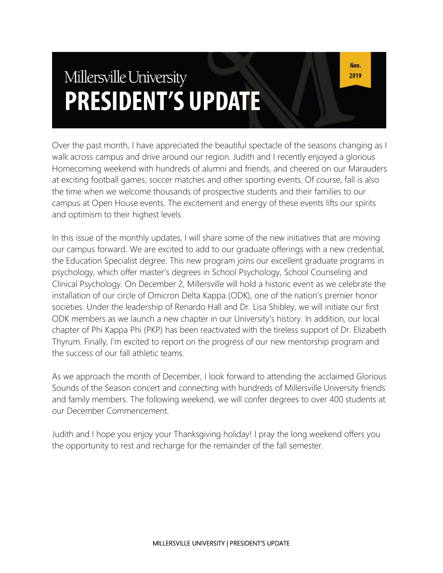# Millersville University **PRESIDENT'S UPDATE**

Over the past month, I have appreciated the beautiful spectacle of the seasons changing as I walk across campus and drive around our region. Judith and I recently enjoyed a glorious Homecoming weekend with hundreds of alumni and friends, and cheered on our Marauders at exciting football games, soccer matches and other sporting events. Of course, fall is also the time when we welcome thousands of prospective students and their families to our campus at Open House events. The excitement and energy of these events lifts our spirits and optimism to their highest levels.

In this issue of the monthly updates, I will share some of the new initiatives that are moving our campus forward. We are excited to add to our graduate offerings with a new credential, the Education Specialist degree. This new program joins our excellent graduate programs in psychology, which offer master's degrees in School Psychology, School Counseling and Clinical Psychology. On December 2, Millersville will hold a historic event as we celebrate the installation of our circle of Omicron Delta Kappa (ODK), one of the nation's premier honor societies. Under the leadership of Renardo Hall and Dr. Lisa Shibley, we will initiate our first ODK members as we launch a new chapter in our University's history. In addition, our local chapter of Phi Kappa Phi (PKP) has been reactivated with the tireless support of Dr. Elizabeth Thyrum. Finally, I'm excited to report on the progress of our new mentorship program and the success of our fall athletic teams.

As we approach the month of December, I look forward to attending the acclaimed Glorious Sounds of the Season concert and connecting with hundreds of Millersville University friends and family members. The following weekend, we will confer degrees to over 400 students at our December Commencement.

Judith and I hope you enjoy your Thanksgiving holiday! I pray the long weekend offers you the opportunity to rest and recharge for the remainder of the fall semester.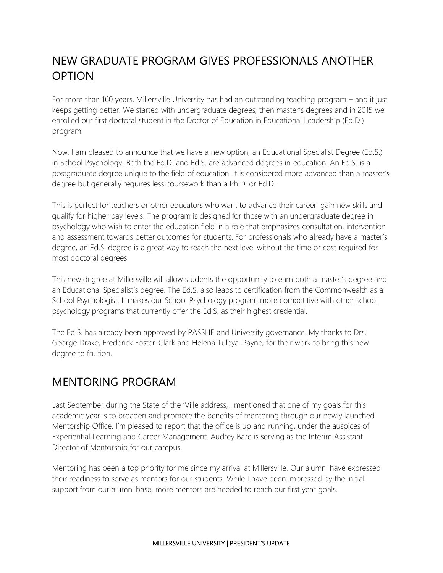# NEW GRADUATE PROGRAM GIVES PROFESSIONALS ANOTHER OPTION

For more than 160 years, Millersville University has had an outstanding teaching program – and it just keeps getting better. We started with undergraduate degrees, then master's degrees and in 2015 we enrolled our first doctoral student in the Doctor of Education in Educational Leadership (Ed.D.) program.

Now, I am pleased to announce that we have a new option; an Educational Specialist Degree (Ed.S.) in School Psychology. Both the Ed.D. and Ed.S. are advanced degrees in education. An Ed.S. is a postgraduate degree unique to the field of education. It is considered more advanced than a master's degree but generally requires less coursework than a Ph.D. or Ed.D.

This is perfect for teachers or other educators who want to advance their career, gain new skills and qualify for higher pay levels. The program is designed for those with an undergraduate degree in psychology who wish to enter the education field in a role that emphasizes consultation, intervention and assessment towards better outcomes for students. For professionals who already have a master's degree, an Ed.S. degree is a great way to reach the next level without the time or cost required for most doctoral degrees.

This new degree at Millersville will allow students the opportunity to earn both a master's degree and an Educational Specialist's degree. The Ed.S. also leads to certification from the Commonwealth as a School Psychologist. It makes our School Psychology program more competitive with other school psychology programs that currently offer the Ed.S. as their highest credential.

The Ed.S. has already been approved by PASSHE and University governance. My thanks to Drs. George Drake, Frederick Foster-Clark and Helena Tuleya-Payne, for their work to bring this new degree to fruition.

### MENTORING PROGRAM

Last September during the State of the 'Ville address, I mentioned that one of my goals for this academic year is to broaden and promote the benefits of mentoring through our newly launched Mentorship Office. I'm pleased to report that the office is up and running, under the auspices of Experiential Learning and Career Management. Audrey Bare is serving as the Interim Assistant Director of Mentorship for our campus.

Mentoring has been a top priority for me since my arrival at Millersville. Our alumni have expressed their readiness to serve as mentors for our students. While I have been impressed by the initial support from our alumni base, more mentors are needed to reach our first year goals.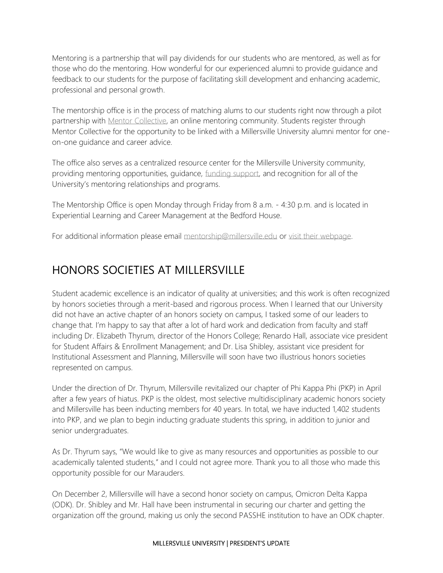Mentoring is a partnership that will pay dividends for our students who are mentored, as well as for those who do the mentoring. How wonderful for our experienced alumni to provide guidance and feedback to our students for the purpose of facilitating skill development and enhancing academic, professional and personal growth.

The mentorship office is in the process of matching alums to our students right now through a pilot partnership with [Mentor Collective,](https://www.millersville.edu/mentorship/find-mentoring-opportunities/mentor-collective.php) an online mentoring community. Students register through Mentor Collective for the opportunity to be linked with a Millersville University alumni mentor for oneon-one guidance and career advice.

The office also serves as a centralized resource center for the Millersville University community, providing mentoring opportunities, guidance, [funding support,](https://www.millersville.edu/mentorship/mentoring-resources/mentorship-support-fund.php) and recognition for all of the University's mentoring relationships and programs.

The Mentorship Office is open Monday through Friday from 8 a.m. - 4:30 p.m. and is located in Experiential Learning and Career Management at the Bedford House.

For additional information please email [mentorship@millersville.edu](mailto:mentorship@millersville.edu) or [visit their webpage.](https://www.millersville.edu/mentorship/index.php)

# HONORS SOCIETIES AT MILLERSVILLE

Student academic excellence is an indicator of quality at universities; and this work is often recognized by honors societies through a merit-based and rigorous process. When I learned that our University did not have an active chapter of an honors society on campus, I tasked some of our leaders to change that. I'm happy to say that after a lot of hard work and dedication from faculty and staff including Dr. Elizabeth Thyrum, director of the Honors College; Renardo Hall, associate vice president for Student Affairs & Enrollment Management; and Dr. Lisa Shibley, assistant vice president for Institutional Assessment and Planning, Millersville will soon have two illustrious honors societies represented on campus.

Under the direction of Dr. Thyrum, Millersville revitalized our chapter of Phi Kappa Phi (PKP) in April after a few years of hiatus. PKP is the oldest, most selective multidisciplinary academic honors society and Millersville has been inducting members for 40 years. In total, we have inducted 1,402 students into PKP, and we plan to begin inducting graduate students this spring, in addition to junior and senior undergraduates.

As Dr. Thyrum says, "We would like to give as many resources and opportunities as possible to our academically talented students," and I could not agree more. Thank you to all those who made this opportunity possible for our Marauders.

On December 2, Millersville will have a second honor society on campus, Omicron Delta Kappa (ODK). Dr. Shibley and Mr. Hall have been instrumental in securing our charter and getting the organization off the ground, making us only the second PASSHE institution to have an ODK chapter.

#### MILLERSVILLE UNIVERSITY | PRESIDENT'S UPDATE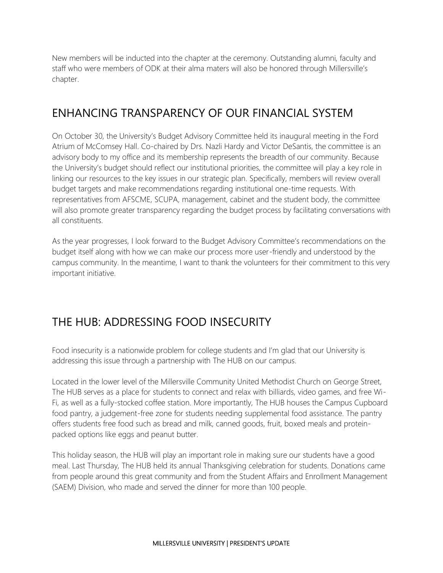New members will be inducted into the chapter at the ceremony. Outstanding alumni, faculty and staff who were members of ODK at their alma maters will also be honored through Millersville's chapter.

## ENHANCING TRANSPARENCY OF OUR FINANCIAL SYSTEM

On October 30, the University's Budget Advisory Committee held its inaugural meeting in the Ford Atrium of McComsey Hall. Co-chaired by Drs. Nazli Hardy and Victor DeSantis, the committee is an advisory body to my office and its membership represents the breadth of our community. Because the University's budget should reflect our institutional priorities, the committee will play a key role in linking our resources to the key issues in our strategic plan. Specifically, members will review overall budget targets and make recommendations regarding institutional one-time requests. With representatives from AFSCME, SCUPA, management, cabinet and the student body, the committee will also promote greater transparency regarding the budget process by facilitating conversations with all constituents.

As the year progresses, I look forward to the Budget Advisory Committee's recommendations on the budget itself along with how we can make our process more user-friendly and understood by the campus community. In the meantime, I want to thank the volunteers for their commitment to this very important initiative.

# THE HUB: ADDRESSING FOOD INSECURITY

Food insecurity is a nationwide problem for college students and I'm glad that our University is addressing this issue through a partnership with The HUB on our campus.

Located in the lower level of the Millersville Community United Methodist Church on George Street, The HUB serves as a place for students to connect and relax with billiards, video games, and free Wi-Fi, as well as a fully-stocked coffee station. More importantly, The HUB houses the Campus Cupboard food pantry, a judgement-free zone for students needing supplemental food assistance. The pantry offers students free food such as bread and milk, canned goods, fruit, boxed meals and proteinpacked options like eggs and peanut butter.

This holiday season, the HUB will play an important role in making sure our students have a good meal. Last Thursday, The HUB held its annual Thanksgiving celebration for students. Donations came from people around this great community and from the Student Affairs and Enrollment Management (SAEM) Division, who made and served the dinner for more than 100 people.